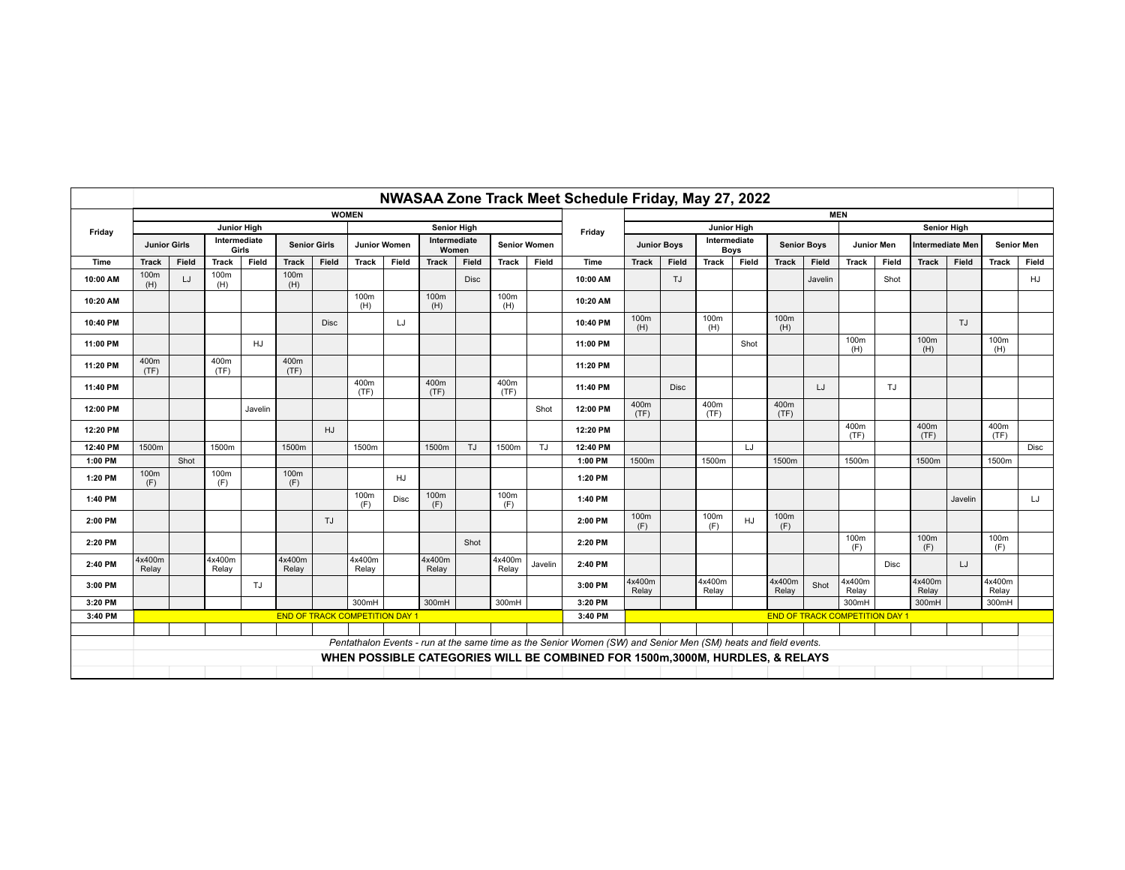|          |                                                                                           | NWASAA Zone Track Meet Schedule Friday, May 27, 2022 |                 |                     |                 |                     |                 |                       |                 |                     |                 |         |                                                                                                                |                 |                             |                 |                    |                 |            |                 |                         |                 |                   |                 |             |
|----------|-------------------------------------------------------------------------------------------|------------------------------------------------------|-----------------|---------------------|-----------------|---------------------|-----------------|-----------------------|-----------------|---------------------|-----------------|---------|----------------------------------------------------------------------------------------------------------------|-----------------|-----------------------------|-----------------|--------------------|-----------------|------------|-----------------|-------------------------|-----------------|-------------------|-----------------|-------------|
|          | <b>WOMEN</b>                                                                              |                                                      |                 |                     |                 |                     |                 |                       |                 |                     |                 |         |                                                                                                                | <b>MEN</b>      |                             |                 |                    |                 |            |                 |                         |                 |                   |                 |             |
| Friday   | <b>Junior High</b>                                                                        |                                                      |                 |                     |                 | <b>Senior High</b>  |                 |                       |                 |                     |                 | Friday  | <b>Junior High</b>                                                                                             |                 |                             |                 |                    |                 |            |                 | <b>Senior High</b>      |                 |                   |                 |             |
|          | Intermediate<br><b>Junior Girls</b><br>Girls                                              |                                                      |                 | <b>Senior Girls</b> |                 | <b>Junior Women</b> |                 | Intermediate<br>Women |                 | <b>Senior Women</b> |                 |         | <b>Junior Boys</b>                                                                                             |                 | Intermediate<br><b>Boys</b> |                 | <b>Senior Boys</b> |                 | Junior Men |                 | <b>Intermediate Mer</b> |                 | <b>Senior Men</b> |                 |             |
| Time     | <b>Track</b>                                                                              | Field                                                | Track           | Field               | <b>Track</b>    | Field               | <b>Track</b>    | Field                 | <b>Track</b>    | Field               | <b>Track</b>    | Field   | Time                                                                                                           | <b>Track</b>    | Field                       | <b>Track</b>    | Field              | <b>Track</b>    | Field      | <b>Track</b>    | Field                   | <b>Track</b>    | Field             | <b>Track</b>    | Field       |
| 10:00 AM | 100m<br>(H)                                                                               | LJ                                                   | 100m<br>(H)     |                     | 100m<br>(H)     |                     |                 |                       |                 | Disc                |                 |         | 10:00 AM                                                                                                       |                 | TJ                          |                 |                    |                 | Javelin    |                 | Shot                    |                 |                   |                 | HJ          |
| 10:20 AM |                                                                                           |                                                      |                 |                     |                 |                     | 100m<br>(H)     |                       | 100m<br>(H)     |                     | 100m<br>(H)     |         | 10:20 AM                                                                                                       |                 |                             |                 |                    |                 |            |                 |                         |                 |                   |                 |             |
| 10:40 PM |                                                                                           |                                                      |                 |                     |                 | <b>Disc</b>         |                 | LJ                    |                 |                     |                 |         | 10:40 PM                                                                                                       | 100m<br>(H)     |                             | 100m<br>(H)     |                    | 100m<br>(H)     |            |                 |                         |                 | TJ                |                 |             |
| 11:00 PM |                                                                                           |                                                      |                 | HJ                  |                 |                     |                 |                       |                 |                     |                 |         | 11:00 PM                                                                                                       |                 |                             |                 | Shot               |                 |            | 100m<br>(H)     |                         | 100m<br>(H)     |                   | 100m<br>(H)     |             |
| 11:20 PM | 400m<br>(TF)                                                                              |                                                      | 400m<br>(TF)    |                     | 400m<br>(TF)    |                     |                 |                       |                 |                     |                 |         | 11:20 PM                                                                                                       |                 |                             |                 |                    |                 |            |                 |                         |                 |                   |                 |             |
| 11:40 PM |                                                                                           |                                                      |                 |                     |                 |                     | 400m<br>(TF)    |                       | 400m<br>(TF)    |                     | 400m<br>(TF)    |         | 11:40 PM                                                                                                       |                 | <b>Disc</b>                 |                 |                    |                 | LJ         |                 | TJ                      |                 |                   |                 |             |
| 12:00 PM |                                                                                           |                                                      |                 | Javelin             |                 |                     |                 |                       |                 |                     |                 | Shot    | 12:00 PM                                                                                                       | 400m<br>(TF)    |                             | 400m<br>(TF)    |                    | 400m<br>(TF)    |            |                 |                         |                 |                   |                 |             |
| 12:20 PM |                                                                                           |                                                      |                 |                     |                 | HJ                  |                 |                       |                 |                     |                 |         | 12:20 PM                                                                                                       |                 |                             |                 |                    |                 |            | 400m<br>(TF)    |                         | 400m<br>(TF)    |                   | 400m<br>(TF)    |             |
| 12:40 PM | 1500m                                                                                     |                                                      | 1500m           |                     | 1500m           |                     | 1500m           |                       | 1500m           | <b>TJ</b>           | 1500m           | TJ      | 12:40 PM                                                                                                       |                 |                             |                 | LJ                 |                 |            |                 |                         |                 |                   |                 | <b>Disc</b> |
| 1:00 PM  |                                                                                           | Shot                                                 |                 |                     |                 |                     |                 |                       |                 |                     |                 |         | 1:00 PM                                                                                                        | 1500m           |                             | 1500m           |                    | 1500m           |            | 1500m           |                         | 1500m           |                   | 1500m           |             |
| 1:20 PM  | 100m<br>(F)                                                                               |                                                      | 100m<br>(F)     |                     | 100m<br>(F)     |                     |                 | HJ                    |                 |                     |                 |         | 1:20 PM                                                                                                        |                 |                             |                 |                    |                 |            |                 |                         |                 |                   |                 |             |
| 1:40 PM  |                                                                                           |                                                      |                 |                     |                 |                     | 100m<br>(F)     | Disc                  | 100m<br>(F)     |                     | 100m<br>(F)     |         | 1:40 PM                                                                                                        |                 |                             |                 |                    |                 |            |                 |                         |                 | Javelin           |                 | LJ          |
| 2:00 PM  |                                                                                           |                                                      |                 |                     |                 | TJ                  |                 |                       |                 |                     |                 |         | 2:00 PM                                                                                                        | 100m<br>(F)     |                             | 100m<br>(F)     | HJ                 | 100m<br>(F)     |            |                 |                         |                 |                   |                 |             |
| 2:20 PM  |                                                                                           |                                                      |                 |                     |                 |                     |                 |                       |                 | Shot                |                 |         | 2:20 PM                                                                                                        |                 |                             |                 |                    |                 |            | 100m<br>(F)     |                         | 100m<br>(F)     |                   | 100m<br>(F)     |             |
| 2:40 PM  | 4x400m<br>Relay                                                                           |                                                      | 4x400m<br>Relay |                     | 4x400m<br>Relay |                     | 4x400m<br>Relay |                       | 4x400m<br>Relay |                     | 4x400m<br>Relay | Javelin | 2:40 PM                                                                                                        |                 |                             |                 |                    |                 |            |                 | Disc                    |                 | LJ                |                 |             |
| 3:00 PM  |                                                                                           |                                                      |                 | TJ                  |                 |                     |                 |                       |                 |                     |                 |         | 3:00 PM                                                                                                        | 4x400m<br>Relay |                             | 4x400m<br>Relay |                    | 4x400m<br>Relay | Shot       | 4x400m<br>Relay |                         | 4x400m<br>Relay |                   | 4x400m<br>Relay |             |
| 3:20 PM  |                                                                                           |                                                      |                 |                     |                 |                     | 300mH           |                       | 300mH           |                     | 300mH           |         | 3:20 PM                                                                                                        |                 |                             |                 |                    |                 |            | 300mH           |                         | 300mH           |                   | 300mH           |             |
| 3:40 PM  | <b>END OF TRACK COMPETITION DAY 1</b><br>3:40 PM<br><b>END OF TRACK COMPETITION DAY 1</b> |                                                      |                 |                     |                 |                     |                 |                       |                 |                     |                 |         |                                                                                                                |                 |                             |                 |                    |                 |            |                 |                         |                 |                   |                 |             |
|          |                                                                                           |                                                      |                 |                     |                 |                     |                 |                       |                 |                     |                 |         |                                                                                                                |                 |                             |                 |                    |                 |            |                 |                         |                 |                   |                 |             |
|          |                                                                                           |                                                      |                 |                     |                 |                     |                 |                       |                 |                     |                 |         | Pentathalon Events - run at the same time as the Senior Women (SW) and Senior Men (SM) heats and field events. |                 |                             |                 |                    |                 |            |                 |                         |                 |                   |                 |             |
|          |                                                                                           |                                                      |                 |                     |                 |                     |                 |                       |                 |                     |                 |         | WHEN POSSIBLE CATEGORIES WILL BE COMBINED FOR 1500m,3000M, HURDLES, & RELAYS                                   |                 |                             |                 |                    |                 |            |                 |                         |                 |                   |                 |             |
|          |                                                                                           |                                                      |                 |                     |                 |                     |                 |                       |                 |                     |                 |         |                                                                                                                |                 |                             |                 |                    |                 |            |                 |                         |                 |                   |                 |             |